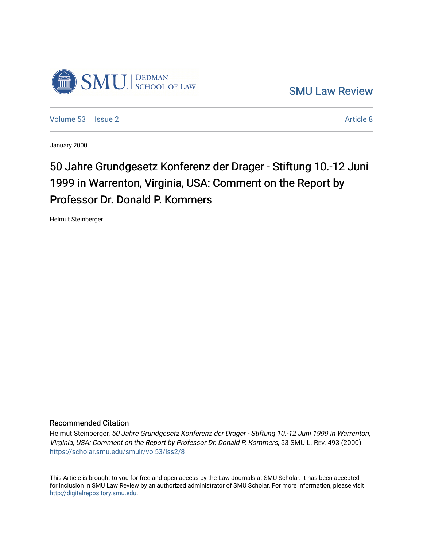

[SMU Law Review](https://scholar.smu.edu/smulr) 

[Volume 53](https://scholar.smu.edu/smulr/vol53) | [Issue 2](https://scholar.smu.edu/smulr/vol53/iss2) Article 8

January 2000

# 50 Jahre Grundgesetz Konferenz der Drager - Stiftung 10.-12 Juni 1999 in Warrenton, Virginia, USA: Comment on the Report by Professor Dr. Donald P. Kommers

Helmut Steinberger

### Recommended Citation

Helmut Steinberger, 50 Jahre Grundgesetz Konferenz der Drager - Stiftung 10.-12 Juni 1999 in Warrenton, Virginia, USA: Comment on the Report by Professor Dr. Donald P. Kommers, 53 SMU L. REV. 493 (2000) [https://scholar.smu.edu/smulr/vol53/iss2/8](https://scholar.smu.edu/smulr/vol53/iss2/8?utm_source=scholar.smu.edu%2Fsmulr%2Fvol53%2Fiss2%2F8&utm_medium=PDF&utm_campaign=PDFCoverPages) 

This Article is brought to you for free and open access by the Law Journals at SMU Scholar. It has been accepted for inclusion in SMU Law Review by an authorized administrator of SMU Scholar. For more information, please visit [http://digitalrepository.smu.edu.](http://digitalrepository.smu.edu/)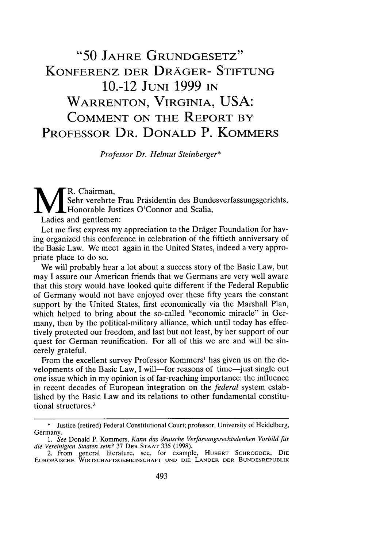## **"50 JAHRE GRUNDGESETZ"** KONFERENZ DER DRAGER- STIFTUNG **1O.-12 JUNI 1999 IN** WARRENTON, VIRGINIA, **USA:** COMMENT ON THE REPORT BY PROFESSOR DR. **DONALD P.** KOMMERS

*Professor Dr. Helmut Steinberger\**

**MR.** Chairman, Sehr verehrte Frau Präsidentin des Bundesverfassungsgerichts, Honorable Justices O'Connor and Scalia,

Ladies and gentlemen:

Let me first express my appreciation to the Dräger Foundation for having organized this conference in celebration of the fiftieth anniversary of the Basic Law. We meet again in the United States, indeed a very appropriate place to do so.

We will probably hear a lot about a success story of the Basic Law, but may I assure our American friends that we Germans are very well aware that this story would have looked quite different if the Federal Republic of Germany would not have enjoyed over these fifty years the constant support by the United States, first economically via the Marshall Plan, which helped to bring about the so-called "economic miracle" in Germany, then by the political-military alliance, which until today has effectively protected our freedom, and last but not least, by her support of our quest for German reunification. For all of this we are and will be sincerely grateful.

From the excellent survey Professor Kommers<sup>1</sup> has given us on the developments of the Basic Law, I will—for reasons of time—just single out one issue which in my opinion is of far-reaching importance: the influence in recent decades of European integration on the *federal* system established by the Basic Law and its relations to other fundamental constitutional structures. <sup>2</sup>

**<sup>\*</sup>** Justice (retired) Federal Constitutional Court; professor, University of Heidelberg, Germany.

*<sup>1.</sup> See* Donald P. Kommers, *Kann das deutsche Verfassungsrechtsdenken Vorbild far die Vereinigten Staaten sein?* 37 DER **STAAT** 335 (1998).

<sup>2.</sup> From general literature, see, for example, HUBERT SCHROEDER, **DIE EUROPAISCHE** WIRTSCHAFTSGEMEINSCHAFT **UND DIE** LANDER DER BUNDESREPUBLIK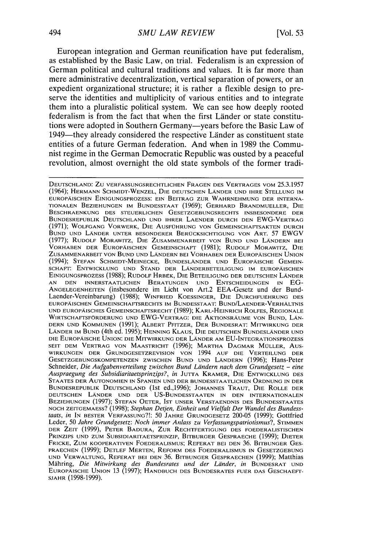European integration and German reunification have put federalism, as established **by** the Basic Law, on trial. Federalism is an expression of German political and cultural traditions and values. It is far more than mere administrative decentralization, vertical separation of powers, or an expedient organizational structure; it is rather a flexible design to preserve the identities and multiplicity of various entities and to integrate them into a pluralistic political system. We can see how deeply rooted federalism is from the fact that when the first Länder or state constitutions were adopted in Southern Germany-years before the Basic Law of 1949—they already considered the respective Länder as constituent state entities of a future German federation. And when in **1989** the Communist regime in the German Democratic Republic was ousted **by** a peaceful revolution, almost overnight the old state symbols of the former tradi-

**DEUTSCHLAND:** ZU VERFASSUNGSRECHTLICHEN FRAGEN DES VERTRAGES VOM 25.3.1957 (1964); **HERMANN SCHMIDT-WENZEL, DIE** DEUTSCHEN LANDER **UND** IHRE **STELLUNG** IM EUROPAISCHEN EINIGUNGSPROZESS: **EIN** BEITRAG ZUR WAHRNEHMUNG DER INTERNA-TIONALEN BEZIEHUNGEN IM BUNDESSTAAT (1969); GERHARD BRANDMUELLER, DIE BESCHRAENKUNG DES STEUERLICHEN GESETZGEBUNGSRECHTS INSBESONDERE DER BUNDESREPUBLIK DEUTSCHLAND **UND** IHRER LAENDER DURCH DEN EWG-VERTRAG (1971); WOLFGANG VORWERK, **DIE** AUSFOHRUNG VON GEMEINSCHAFTSAKTEN DURCH BUND **UND** LANDER UNTER BESONDERER BEROCKSICHTIGUNG VON ART. 57 EWGV (1977); RUDOLF MORAWiTZ, DIE ZUSAMMENARBEIT VON BUND UN) LANDERN BEI VORHABEN DER EUROPAISCHEN GEMEINSCHAFT (1981); RUDOLF MORAWITZ, DIE **ZUSAMMENARBEIT VON BUND UND LÄNDERN BEI VORHABEN DER EUROPÄISCHEN UNION** (1994); **STEFAN SCHMIDT-MEINECKE, BUNDESLANDER UND) EUROPAISCHE GEMEIN-**SCHAFT: ENTWICKLUNG UND STAND DER LÄNDERBETEILIGUNG IM EUROPÄISCHEN **EINIGUNGSPROZESS (1988);** RUDOLF HRBEK, DIE BETEILIGUNG DER **DEUTSCHEN** LANDER AN DEN INNERSTAATLICHEN BERATUNGEN UND ENTSCHEIDUNGEN IN **EG-ANGELEGENHEITEN** (insbesondere im Licht von Art.2 EEA-Gesetz und der Bund-Laender-Vereinbarung) **(1988);** WINFRIED KOESSINGER, **DIE DURCHFUEHRUNG DES** europäischen Gemeinschaftsrechts im Bundesstaat: Bund/Laender-Verhältni UND EUROPAISCHES GEMEINSCHAFTSRECHT (1989); KARL-HEINRICH ROLFES, REGIONALE WIRTSCHAFTSFORDERUNG UND EWG-VERTRAG: **DIE** AKTIONSRAUME VON BUND, LAN-DERN UN!) KOMMUNEN (1991); ALBERT PFITZER, DER BUNDESRAT: MITWIRKUNG DER LANDER IM **BUND** (4th ed. **1995);** HENNING KLAUS, **DIE DEUTSCHEN BUNDESLANDER UND DIE EUROPAISCHE UNION: DIE** MITWIRKUNG DER LANDER AM **EU-INTEGRATIONSPROZESS SEIT** DEM VERTRAG **VON** MAASTRICHT **(1996);** MARTHA DAGMAR MOLLER, Aus-**WIRKUNGEN DER GRUNDGESETZREVISION VON** 1994 **AUF DIE VERTEILUNG** DER **GESETZGEBUNGSKOMPETENZEN ZWISCHEN BUND UND LANDERN (1996);** Hans-Peter Schneider, *Die Aufgabenverteilung zwischen Bund Landern nach dem Grundgesetz* **-** *eine Auspraegung des Subsidiaritaetsprinzips?, in* **JUTTA** KRAMER, **DIE ENTWICKLUNG DES** STAATES DER AUTONOMIEN IN SPANIEN **UND** DER BUNDESSTAATLICHEN ORDNUNG IN DER BUNDESREPUBLIK DEUTSCHLAND (1st ed.,1996); JOHANNES TRAUT, DIE ROLLE DER **DEUTSCHEN** LANDER **UND** DER **US-BUNDESSTAATEN IN DEN INTERNATIONALEN** BEZIEHUNGEN (1997); STEFAN OETER, **IST** UNSER VERSTAENDNIS DES BUNDESSTAATES NOCH ZEITGEMAESS? (1998); *Stephan Detjen, Einheit und Vielfalt Der Wandel des Bundesstaats, in* **IN** BESTER **VERFASSUNG?!: 50 JAHRE** GRUNDGESETZ **200-05 (1999);** Gottfried Leder, 50 Jahre Grundgesetz: Noch immer Anlass zu Verfassungspatriotismus?, STIMMEN **DER** ZEIT **(1999),** PETER BADURA, ZUR RECHTFERTIGUNG **DES** FOEDERALISTISCHEN PRINZIPS **UND** ZUM SUBSIDIARITAETSPRINZIP, BITBURGER GESPRAECHE (1999); DIETER FRICKE, ZUM KOOPERATIVEN FOEDERALISMUS; REFERAT BEI **DEN** 36. BITBUNGER GES-PRAECHEN (1999); DETLEF MERTEN, REFORM DES FOEDERALISMUS IN GESETZGEBUNG **UND VERWALTUNG,** REFERAT **BEI DEN 36. BITBUNGER GESPRAECHEN (1999);** Matthias Mähring, *Die Mitwirkung des Bundesrates und der Länder*, in BUNDESRAT UND EUROPAISCHE UNION 13 (1997); HANDBUCH DES BUNDESRATES FUER DAS GESCHAEFT-**SJAHR (1998-1999).**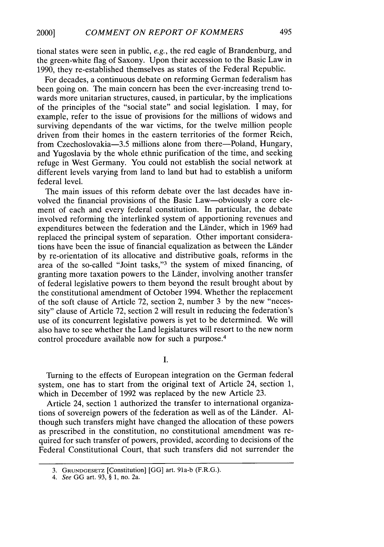tional states were seen in public, e.g., the red eagle of Brandenburg, and the green-white flag of Saxony. Upon their accession to the Basic Law in 1990, they re-established themselves as states of the Federal Republic.

For decades, a continuous debate on reforming German federalism has been going on. The main concern has been the ever-increasing trend towards more unitarian structures, caused, in particular, by the implications of the principles of the "social state" and social legislation. I may, for example, refer to the issue of provisions for the millions of widows and surviving dependants of the war victims, for the twelve million people driven from their homes in the eastern territories of the former Reich, from Czechoslovakia-3.5 millions alone from there-Poland, Hungary, and Yugoslavia by the whole ethnic purification of the time, and seeking refuge in West Germany. You could not establish the social network at different levels varying from land to land but had to establish a uniform federal level.

The main issues of this reform debate over the last decades have involved the financial provisions of the Basic Law-obviously a core element of each and every federal constitution. In particular, the debate involved reforming the interlinked system of apportioning revenues and expenditures between the federation and the Linder, which in 1969 had replaced the principal system of separation. Other important considerations have been the issue of financial equalization as between the Lander by re-orientation of its allocative and distributive goals, reforms in the area of the so-called "Joint tasks,"<sup>3</sup> the system of mixed financing, of granting more taxation powers to the Linder, involving another transfer of federal legislative powers to them beyond the result brought about by the constitutional amendment of October 1994. Whether the replacement of the soft clause of Article 72, section 2, number 3 by the new "necessity" clause of Article 72, section 2 will result in reducing the federation's use of its concurrent legislative powers is yet to be determined. We will also have to see whether the Land legislatures will resort to the new norm control procedure available now for such a purpose. <sup>4</sup>

I.

Turning to the effects of European integration on the German federal system, one has to start from the original text of Article 24, section 1, which in December of 1992 was replaced by the new Article 23.

Article 24, section **1** authorized the transfer to international organizations of sovereign powers of the federation as well as of the Länder. Although such transfers might have changed the allocation of these powers as prescribed in the constitution, no constitutional amendment was required for such transfer of powers, provided, according to decisions of the Federal Constitutional Court, that such transfers did not surrender the

<sup>3.</sup> **GRUNDGESETZ** [Constitution] [GG] art. 91a-b (F.R.G.).

*<sup>4.</sup> See* GG art. 93, § 1, no. 2a.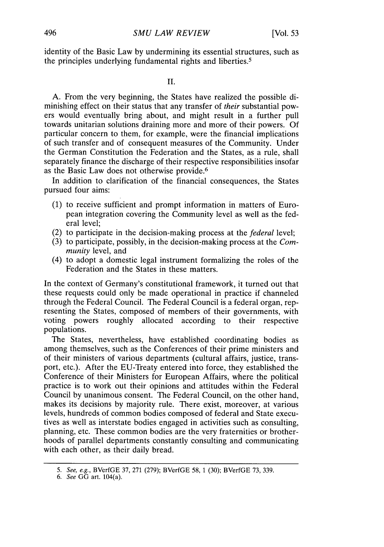identity of the Basic Law by undermining its essential structures, such as the principles underlying fundamental rights and liberties.5

A. From the very beginning, the States have realized the possible diminishing effect on their status that any transfer of *their* substantial powers would eventually bring about, and might result in a further pull towards unitarian solutions draining more and more of their powers. Of particular concern to them, for example, were the financial implications of such transfer and of consequent measures of the Community. Under the German Constitution the Federation and the States, as a rule, shall separately finance the discharge of their respective responsibilities insofar as the Basic Law does not otherwise provide.<sup>6</sup>

In addition to clarification of the financial consequences, the States pursued four aims:

- (1) to receive sufficient and prompt information in matters of European integration covering the Community level as well as the federal level;
- (2) to participate in the decision-making process at the *federal* level;
- (3) to participate, possibly, in the decision-making process at the *Community* level, and
- (4) to adopt a domestic legal instrument formalizing the roles of the Federation and the States in these matters.

In the context of Germany's constitutional framework, it turned out that these requests could only be made operational in practice if channeled through the Federal Council. The Federal Council is a federal organ, representing the States, composed of members of their governments, with voting powers roughly allocated according to their respective populations.

The States, nevertheless, have established coordinating bodies as among themselves, such as the Conferences of their prime ministers and of their ministers of various departments (cultural affairs, justice, transport, etc.). After the EU-Treaty entered into force, they established the Conference of their Ministers for European Affairs, where the political practice is to work out their opinions and attitudes within the Federal Council by unanimous consent. The Federal Council, on the other hand, makes its decisions by majority rule. There exist, moreover, at various levels, hundreds of common bodies composed of federal and State executives as well as interstate bodies engaged in activities such as consulting, planning, etc. These common bodies are the very fraternities or brotherhoods of parallel departments constantly consulting and communicating with each other, as their daily bread.

*<sup>5.</sup>* See, e.g., BVerfGE 37, 271 (279); BVerfGE 58, 1 (30); BVerfGE 73, 339.

<sup>6.</sup> See GG art. 104(a).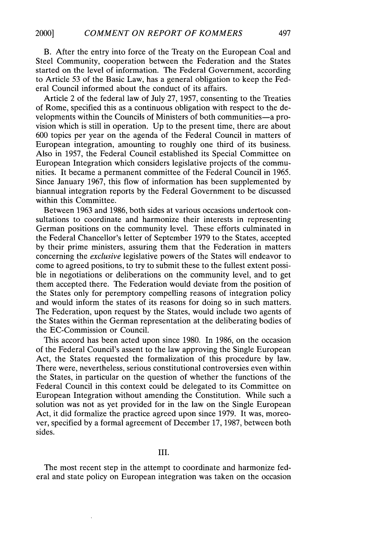### B. After the entry into force of the Treaty on the European Coal and Steel Community, cooperation between the Federation and the States started on the level of information. The Federal Government, according to Article 53 of the Basic Law, has a general obligation to keep the Federal Council informed about the conduct of its affairs.

Article 2 of the federal law of July 27, 1957, consenting to the Treaties of Rome, specified this as a continuous obligation with respect to the developments within the Councils of Ministers of both communities-a provision which is still in operation. Up to the present time, there are about 600 topics per year on the agenda of the Federal Council in matters of European integration, amounting to roughly one third of its business. Also in 1957, the Federal Council established its Special Committee on European Integration which considers legislative projects of the communities. It became a permanent committee of the Federal Council in 1965. Since January 1967, this flow of information has been supplemented by biannual integration reports by the Federal Government to be discussed within this Committee.

Between 1963 and 1986, both sides at various occasions undertook consultations to coordinate and harmonize their interests in representing German positions on the community level. These efforts culminated in the Federal Chancellor's letter of September 1979 to the States, accepted by their prime ministers, assuring them that the Federation in matters concerning the *exclusive* legislative powers of the States will endeavor to come to agreed positions, to try to submit these to the fullest extent possible in negotiations or deliberations on the community level, and to get them accepted there. The Federation would deviate from the position of the States only for peremptory compelling reasons of integration policy and would inform the states of its reasons for doing so in such matters. The Federation, upon request by the States, would include two agents of the States within the German representation at the deliberating bodies of the EC-Commission or Council.

This accord has been acted upon since 1980. In 1986, on the occasion of the Federal Council's assent to the law approving the Single European Act, the States requested the formalization of this procedure by law. There were, nevertheless, serious constitutional controversies even within the States, in particular on the question of whether the functions of the Federal Council in this context could be delegated to its Committee on European Integration without amending the Constitution. While such a solution was not as yet provided for in the law on the Single European Act, it did formalize the practice agreed upon since 1979. It was, moreover, specified by a formal agreement of December 17, 1987, between both sides.

The most recent step in the attempt to coordinate and harmonize federal and state policy on European integration was taken on the occasion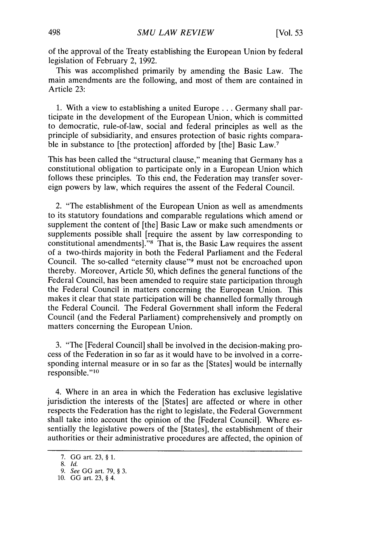of the approval of the Treaty establishing the European Union by federal legislation of February 2, 1992.

This was accomplished primarily by amending the Basic Law. The main amendments are the following, and most of them are contained in Article 23:

1. With a view to establishing a united Europe **...** Germany shall participate in the development of the European Union, which is committed to democratic, rule-of-law, social and federal principles as well as the principle of subsidiarity, and ensures protection of basic rights comparable in substance to [the protection] afforded by [the] Basic Law.<sup>7</sup>

This has been called the "structural clause," meaning that Germany has a constitutional obligation to participate only in a European Union which follows these principles. To this end, the Federation may transfer sovereign powers by law, which requires the assent of the Federal Council.

2. "The establishment of the European Union as well as amendments to its statutory foundations and comparable regulations which amend or supplement the content of [the] Basic Law or make such amendments or supplements possible shall [require the assent by law corresponding to constitutional amendments]."<sup>8</sup> That is, the Basic Law requires the assent of a two-thirds majority in both the Federal Parliament and the Federal Council. The so-called "eternity clause"<sup>9</sup> must not be encroached upon thereby. Moreover, Article 50, which defines the general functions of the Federal Council, has been amended to require state participation through the Federal Council in matters concerning the European Union. This makes it clear that state participation will be channelled formally through the Federal Council. The Federal Government shall inform the Federal Council (and the Federal Parliament) comprehensively and promptly on matters concerning the European Union.

3. "The [Federal Council] shall be involved in the decision-making process of the Federation in so far as it would have to be involved in a corresponding internal measure or in so far as the [States] would be internally responsible."<sup>10</sup>

4. Where in an area in which the Federation has exclusive legislative jurisdiction the interests of the [States] are affected or where in other respects the Federation has the right to legislate, the Federal Government shall take into account the opinion of the [Federal Council]. Where essentially the legislative powers of the [States], the establishment of their authorities or their administrative procedures are affected, the opinion of

<sup>7.</sup> **GG** art. 23, § 1.

<sup>8.</sup> **Id.**

<sup>9.</sup> See GG art. 79, § 3.

<sup>10.</sup> GG art. 23, § 4.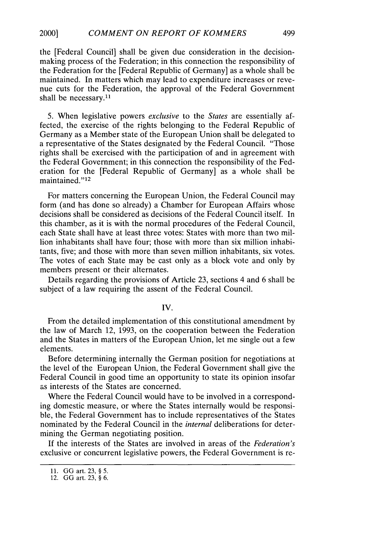the [Federal Council] shall be given due consideration in the decisionmaking process of the Federation; in this connection the responsibility of the Federation for the [Federal Republic of Germany] as a whole shall be maintained. In matters which may lead to expenditure increases or revenue cuts for the Federation, the approval of the Federal Government shall be necessary.<sup>11</sup>

5. When legislative powers *exclusive* to the *States* are essentially affected, the exercise of the rights belonging to the Federal Republic of Germany as a Member state of the European Union shall be delegated to a representative of the States designated by the Federal Council. "Those rights shall be exercised with the participation of and in agreement with the Federal Government; in this connection the responsibility of the Federation for the [Federal Republic of Germany] as a whole shall be maintained."<sup>12</sup>

For matters concerning the European Union, the Federal Council may form (and has done so already) a Chamber for European Affairs whose decisions shall be considered as decisions of the Federal Council itself. In this chamber, as it is with the normal procedures of the Federal Council, each State shall have at least three votes: States with more than two million inhabitants shall have four; those with more than six million inhabitants, five; and those with more than seven million inhabitants, six votes. The votes of each State may be cast only as a block vote and only by members present or their alternates.

Details regarding the provisions of Article 23, sections 4 and 6 shall be subject of a law requiring the assent of the Federal Council.

#### IV.

From the detailed implementation of this constitutional amendment by the law of March 12, 1993, on the cooperation between the Federation and the States in matters of the European Union, let me single out a few elements.

Before determining internally the German position for negotiations at the level of the European Union, the Federal Government shall give the Federal Council in good time an opportunity to state its opinion insofar as interests of the States are concerned.

Where the Federal Council would have to be involved in a corresponding domestic measure, or where the States internally would be responsible, the Federal Government has to include representatives of the States nominated by the Federal Council in the *internal* deliberations for determining the German negotiating position.

If the interests of the States are involved in areas of the *Federation's* exclusive or concurrent legislative powers, the Federal Government is re-

<sup>11.</sup> **GG** art. 23, § 5.

<sup>12.</sup> GG art. 23, § 6.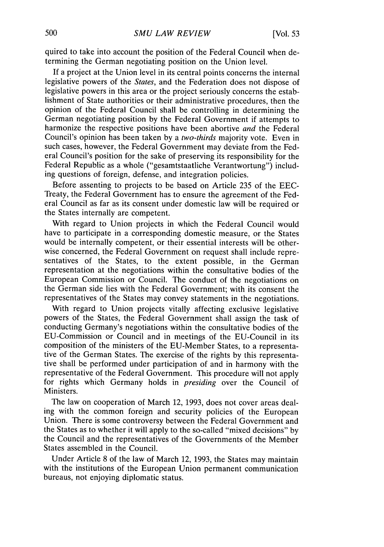quired to take into account the position of the Federal Council when determining the German negotiating position on the Union level.

If a project at the Union level in its central points concerns the internal legislative powers of the *States,* and the Federation does not dispose of legislative powers in this area or the project seriously concerns the establishment of State authorities or their administrative procedures, then the opinion of the Federal Council shall be controlling in determining the German negotiating position by the Federal Government if attempts to harmonize the respective positions have been abortive *and* the Federal Council's opinion has been taken by a *two-thirds* majority vote. Even in such cases, however, the Federal Government may deviate from the Federal Council's position for the sake of preserving its responsibility for the Federal Republic as a whole ("gesamtstaatliche Verantwortung") including questions of foreign, defense, and integration policies.

Before assenting to projects to be based on Article 235 of the EEC-Treaty, the Federal Government has to ensure the agreement of the Federal Council as far as its consent under domestic law will be required or the States internally are competent.

With regard to Union projects in which the Federal Council would have to participate in a corresponding domestic measure, or the States would be internally competent, or their essential interests will be otherwise concerned, the Federal Government on request shall include representatives of the States, to the extent possible, in the German representation at the negotiations within the consultative bodies of the European Commission or Council. The conduct of the negotiations on the German side lies with the Federal Government; with its consent the representatives of the States may convey statements in the negotiations.

With regard to Union projects vitally affecting exclusive legislative powers of the States, the Federal Government shall assign the task of conducting Germany's negotiations within the consultative bodies of the EU-Commission or Council and in meetings of the EU-Council in its composition of the ministers of the EU-Member States, to a representative of the German States. The exercise of the rights by this representative shall be performed under participation of and in harmony with the representative of the Federal Government. This procedure will not apply for rights which Germany holds in *presiding* over the Council of Ministers.

The law on cooperation of March 12, 1993, does not cover areas dealing with the common foreign and security policies of the European Union. There is some controversy between the Federal Government and the States as to whether it will apply to the so-called "mixed decisions" by the Council and the representatives of the Governments of the Member States assembled in the Council.

Under Article 8 of the law of March 12, 1993, the States may maintain with the institutions of the European Union permanent communication bureaus, not enjoying diplomatic status.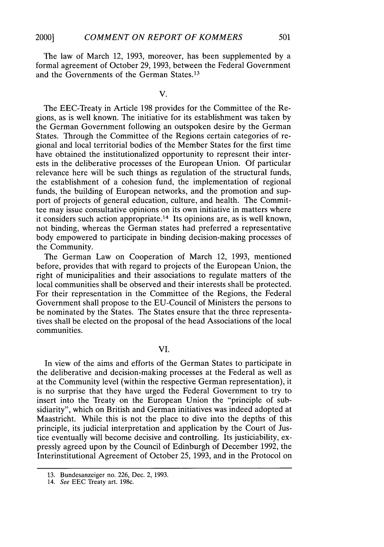The law of March 12, 1993, moreover, has been supplemented by a formal agreement of October 29, 1993, between the Federal Government and the Governments of the German States.<sup>13</sup>

V.

The EEC-Treaty in Article 198 provides for the Committee of the Regions, as is well known. The initiative for its establishment was taken by the German Government following an outspoken desire by the German States. Through the Committee of the Regions certain categories of regional and local territorial bodies of the Member States for the first time have obtained the institutionalized opportunity to represent their interests in the deliberative processes of the European Union. Of particular relevance here will be such things as regulation of the structural funds, the establishment of a cohesion fund, the implementation of regional funds, the building of European networks, and the promotion and support of projects of general education, culture, and health. The Committee may issue consultative opinions on its own initiative in matters where it considers such action appropriate. 14 Its opinions are, as is well known, not binding, whereas the German states had preferred a representative body empowered to participate in binding decision-making processes of the Community.

The German Law on Cooperation of March 12, 1993, mentioned before, provides that with regard to projects of the European Union, the right of municipalities and their associations to regulate matters of the local communities shall be observed and their interests shall be protected. For their representation in the Committee of the Regions, the Federal Government shall propose to the EU-Council of Ministers the persons to be nominated by the States. The States ensure that the three representatives shall be elected on the proposal of the head Associations of the local communities.

VI.

In view of the aims and efforts of the German States to participate in the deliberative and decision-making processes at the Federal as well as at the Community level (within the respective German representation), it is no surprise that they have urged the Federal Government to try to insert into the Treaty on the European Union the "principle of subsidiarity", which on British and German initiatives was indeed adopted at Maastricht. While this is not the place to dive into the depths of this principle, its judicial interpretation and application by the Court of Justice eventually will become decisive and controlling. Its justiciability, expressly agreed upon by the Council of Edinburgh of December 1992, the Interinstitutional Agreement of October 25, 1993, and in the Protocol on

<sup>13.</sup> Bundesanzeiger no. 226, Dec. 2, 1993.

<sup>14.</sup> See EEC Treaty art. 198c.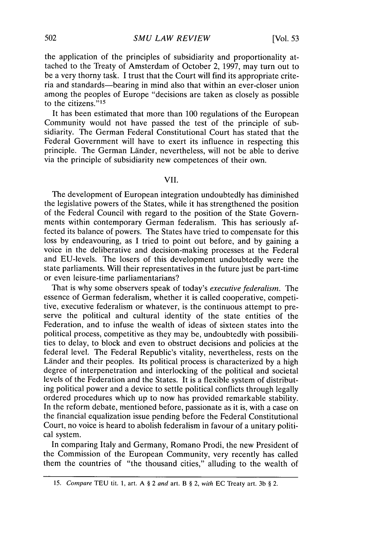the application of the principles of subsidiarity and proportionality attached to the Treaty of Amsterdam of October 2, 1997, may turn out to be a very thorny task. I trust that the Court will find its appropriate criteria and standards-bearing in mind also that within an ever-closer union among the peoples of Europe "decisions are taken as closely as possible to the citizens."<sup>15</sup>

It has been estimated that more than 100 regulations of the European Community would not have passed the test of the principle of subsidiarity. The German Federal Constitutional Court has stated that the Federal Government will have to exert its influence in respecting this principle. The German Länder, nevertheless, will not be able to derive via the principle of subsidiarity new competences of their own.

VII.

The development of European integration undoubtedly has diminished the legislative powers of the States, while it has strengthened the position of the Federal Council with regard to the position of the State Governments within contemporary German federalism. This has seriously affected its balance of powers. The States have tried to compensate for this loss by endeavouring, as I tried to point out before, and by gaining a voice in the deliberative and decision-making processes at the Federal and EU-levels. The losers of this development undoubtedly were the state parliaments. Will their representatives in the future just be part-time or even leisure-time parliamentarians?

That is why some observers speak of today's *executive federalism. The* essence of German federalism, whether it is called cooperative, competitive, executive federalism or whatever, is the continuous attempt to preserve the political and cultural identity of the state entities of the Federation, and to infuse the wealth of ideas of sixteen states into the political process, competitive as they may be, undoubtedly with possibilities to delay, to block and even to obstruct decisions and policies at the federal level. The Federal Republic's vitality, nevertheless, rests on the Länder and their peoples. Its political process is characterized by a high degree of interpenetration and interlocking of the political and societal levels of the Federation and the States. It is a flexible system of distributing political power and a device to settle political conflicts through legally ordered procedures which up to now has provided remarkable stability. In the reform debate, mentioned before, passionate as it is, with a case on the financial equalization issue pending before the Federal Constitutional Court, no voice is heard to abolish federalism in favour of a unitary political system.

In comparing Italy and Germany, Romano Prodi, the new President of the Commission of the European Community, very recently has called them the countries of "the thousand cities," alluding to the wealth of

<sup>15.</sup> Compare TEU tit. **1,** art. A § 2 *and* art. B § 2, *with* EC Treaty art. 3b § 2.